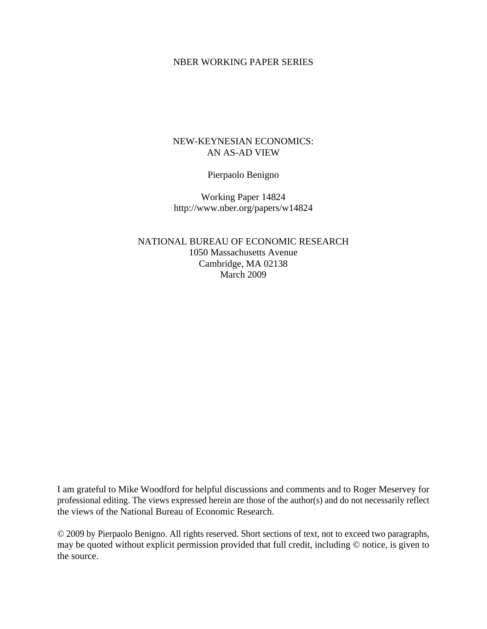## NBER WORKING PAPER SERIES

## NEW-KEYNESIAN ECONOMICS: AN AS-AD VIEW

Pierpaolo Benigno

Working Paper 14824 http://www.nber.org/papers/w14824

NATIONAL BUREAU OF ECONOMIC RESEARCH 1050 Massachusetts Avenue Cambridge, MA 02138 March 2009

I am grateful to Mike Woodford for helpful discussions and comments and to Roger Meservey for professional editing. The views expressed herein are those of the author(s) and do not necessarily reflect the views of the National Bureau of Economic Research.

© 2009 by Pierpaolo Benigno. All rights reserved. Short sections of text, not to exceed two paragraphs, may be quoted without explicit permission provided that full credit, including © notice, is given to the source.